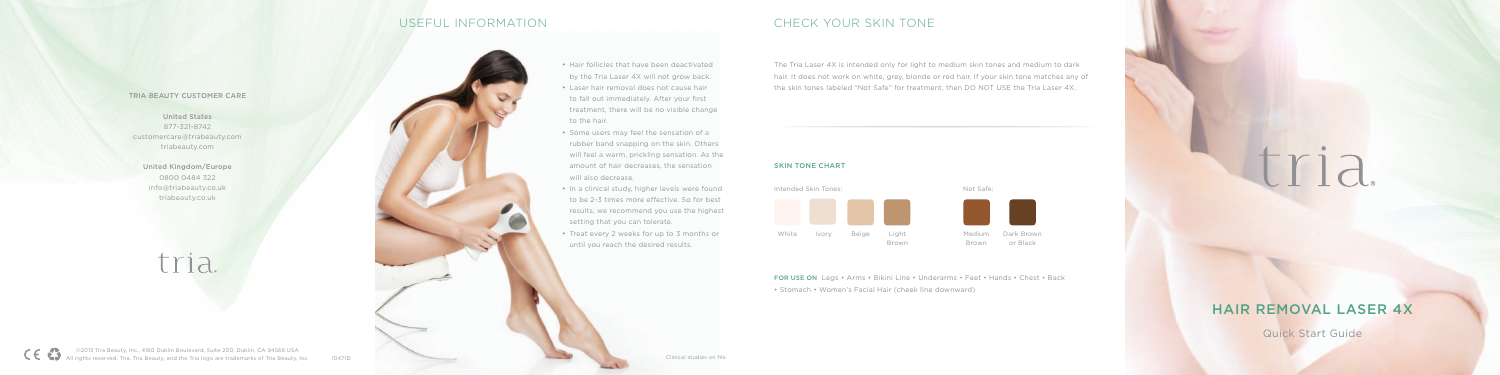

| White | Ivory | Beige | Light<br>Brown |
|-------|-------|-------|----------------|

Medium Dark Brown Brown

or Black



# Hair Removal Laser 4X

Quick Start Guide

## useful information CHECK YOUR SKIN TONE

The Tria Laser 4X is intended only for light to medium skin tones and medium to dark hair. It does not work on white, grey, blonde or red hair. If your skin tone matches any of the skin tones labeled "Not Safe" for treatment, then DO NOT USE the Tria Laser 4X.

### Tria Beauty Customer Care

United States 877-321-8742 customercare@triabeauty.com triabeauty.com

- Laser hair removal does not cause hair to fall out immediately. After your first treatment, there will be no visible change to the hair.
- Some users may feel the sensation of a rubber band snapping on the skin. Others will feel a warm, prickling sensation. As the amount of hair decreases, the sensation will also decrease.
- In a clinical study, higher levels were found to be 2-3 times more effective. So for best results, we recommend you use the highest setting that you can tolerate.
- Treat every 2 weeks for up to 3 months or until you reach the desired results.

United Kingdom/Europe 0800 0484 322 info@triabeauty.co.uk triabeauty.co.uk

tria.



### SKIN TONE CHART

for use on Legs • Arms • Bikini Line • Underarms • Feet • Hands • Chest • Back • Stomach • Women's Facial Hair (cheek line downward)